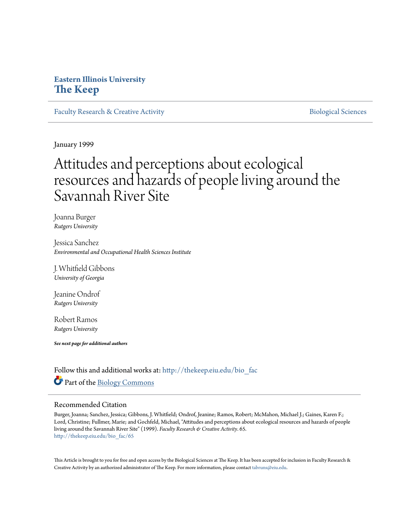# **Eastern Illinois University [The Keep](http://thekeep.eiu.edu?utm_source=thekeep.eiu.edu%2Fbio_fac%2F65&utm_medium=PDF&utm_campaign=PDFCoverPages)**

[Faculty Research & Creative Activity](http://thekeep.eiu.edu/bio_fac?utm_source=thekeep.eiu.edu%2Fbio_fac%2F65&utm_medium=PDF&utm_campaign=PDFCoverPages) **[Biological Sciences](http://thekeep.eiu.edu/bio?utm_source=thekeep.eiu.edu%2Fbio_fac%2F65&utm_medium=PDF&utm_campaign=PDFCoverPages)** Biological Sciences

January 1999

# Attitudes and perceptions about ecological resources and hazards of people living around the Savannah River Site

Joanna Burger *Rutgers University*

Jessica Sanchez *Environmental and Occupational Health Sciences Institute*

J. Whitfield Gibbons *University of Georgia*

Jeanine Ondrof *Rutgers University*

Robert Ramos *Rutgers University*

*See next page for additional authors*

Follow this and additional works at: [http://thekeep.eiu.edu/bio\\_fac](http://thekeep.eiu.edu/bio_fac?utm_source=thekeep.eiu.edu%2Fbio_fac%2F65&utm_medium=PDF&utm_campaign=PDFCoverPages) Part of the [Biology Commons](http://network.bepress.com/hgg/discipline/41?utm_source=thekeep.eiu.edu%2Fbio_fac%2F65&utm_medium=PDF&utm_campaign=PDFCoverPages)

#### Recommended Citation

Burger, Joanna; Sanchez, Jessica; Gibbons, J. Whitfield; Ondrof, Jeanine; Ramos, Robert; McMahon, Michael J.; Gaines, Karen F.; Lord, Christine; Fullmer, Marie; and Gochfeld, Michael, "Attitudes and perceptions about ecological resources and hazards of people living around the Savannah River Site" (1999). *Faculty Research & Creative Activity*. 65. [http://thekeep.eiu.edu/bio\\_fac/65](http://thekeep.eiu.edu/bio_fac/65?utm_source=thekeep.eiu.edu%2Fbio_fac%2F65&utm_medium=PDF&utm_campaign=PDFCoverPages)

This Article is brought to you for free and open access by the Biological Sciences at The Keep. It has been accepted for inclusion in Faculty Research & Creative Activity by an authorized administrator of The Keep. For more information, please contact [tabruns@eiu.edu.](mailto:tabruns@eiu.edu)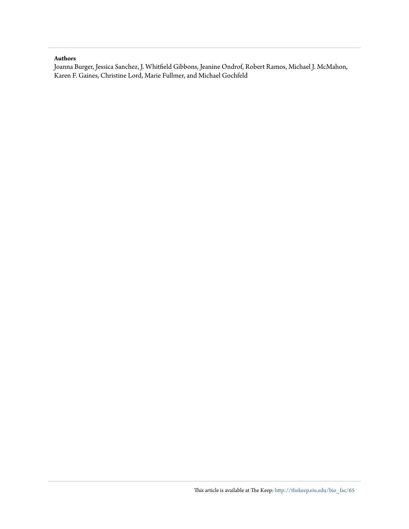#### **Authors**

Joanna Burger, Jessica Sanchez, J. Whitfield Gibbons, Jeanine Ondrof, Robert Ramos, Michael J. McMahon, Karen F. Gaines, Christine Lord, Marie Fullmer, and Michael Gochfeld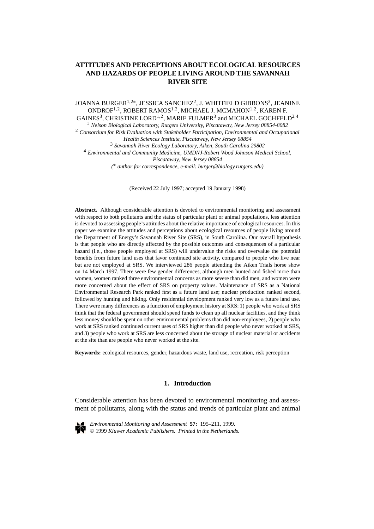# **ATTITUDES AND PERCEPTIONS ABOUT ECOLOGICAL RESOURCES AND HAZARDS OF PEOPLE LIVING AROUND THE SAVANNAH RIVER SITE**

## JOANNA BURGER1*,*2∗, JESSICA SANCHEZ2, J. WHITFIELD GIBBONS3, JEANINE ONDROF1*,*2, ROBERT RAMOS1*,*2, MICHAEL J. MCMAHON1*,*2, KAREN F. GAINES<sup>3</sup>, CHRISTINE LORD<sup>1,2</sup>, MARIE FULMER<sup>3</sup> and MICHAEL GOCHFELD<sup>2,4</sup>

<sup>1</sup> *Nelson Biological Laboratory, Rutgers University, Piscataway, New Jersey 08854-8082*

<sup>2</sup> *Consortium for Risk Evaluation with Stakeholder Participation, Environmental and Occupational*

*Health Sciences Institute, Piscataway, New Jersey 08854*

<sup>3</sup> *Savannah River Ecology Laboratory, Aiken, South Carolina 29802*

<sup>4</sup> *Environmental and Community Medicine, UMDNJ-Robert Wood Johnson Medical School,*

*Piscataway, New Jersey 08854*

*(* ∗ *author for correspondence, e-mail: burger@biology.rutgers.edu)*

(Received 22 July 1997; accepted 19 January 1998)

**Abstract.** Although considerable attention is devoted to environmental monitoring and assessment with respect to both pollutants and the status of particular plant or animal populations, less attention is devoted to assessing people's attitudes about the relative importance of ecological resources. In this paper we examine the attitudes and perceptions about ecological resources of people living around the Department of Energy's Savannah River Site (SRS), in South Carolina. Our overall hypothesis is that people who are directly affected by the possible outcomes and consequences of a particular hazard (i.e., those people employed at SRS) will undervalue the risks and overvalue the potential benefits from future land uses that favor continued site activity, compared to people who live near but are not employed at SRS. We interviewed 286 people attending the Aiken Trials horse show on 14 March 1997. There were few gender differences, although men hunted and fished more than women, women ranked three environmental concerns as more severe than did men, and women were more concerned about the effect of SRS on property values. Maintenance of SRS as a National Environmental Research Park ranked first as a future land use; nuclear production ranked second, followed by hunting and hiking. Only residential development ranked very low as a future land use. There were many differences as a function of employment history at SRS: 1) people who work at SRS think that the federal government should spend funds to clean up all nuclear facilities, and they think less money should be spent on other environmental problems than did non-employees, 2) people who work at SRS ranked continued current uses of SRS higher than did people who never worked at SRS, and 3) people who work at SRS are less concerned about the storage of nuclear material or accidents at the site than are people who never worked at the site.

**Keywords:** ecological resources, gender, hazardous waste, land use, recreation, risk perception

# **1. Introduction**

Considerable attention has been devoted to environmental monitoring and assessment of pollutants, along with the status and trends of particular plant and animal



*Environmental Monitoring and Assessment* **57:** 195–211, 1999. © 1999 *Kluwer Academic Publishers. Printed in the Netherlands.*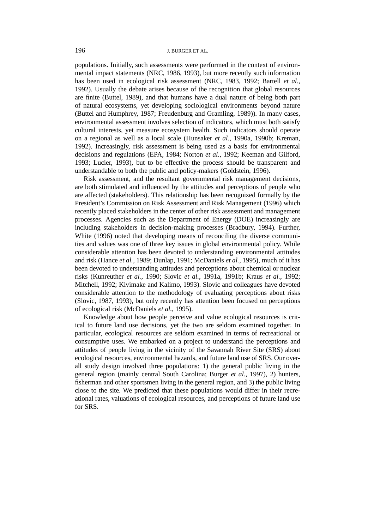populations. Initially, such assessments were performed in the context of environmental impact statements (NRC, 1986, 1993), but more recently such information has been used in ecological risk assessment (NRC, 1983, 1992; Bartell *et al.*, 1992). Usually the debate arises because of the recognition that global resources are finite (Buttel, 1989), and that humans have a dual nature of being both part of natural ecosystems, yet developing sociological environments beyond nature (Buttel and Humphrey, 1987; Freudenburg and Gramling, 1989)). In many cases, environmental assessment involves selection of indicators, which must both satisfy cultural interests, yet measure ecosystem health. Such indicators should operate on a regional as well as a local scale (Hunsaker *et al.*, 1990a, 1990b; Kreman, 1992). Increasingly, risk assessment is being used as a basis for environmental decisions and regulations (EPA, 1984; Norton *et al.*, 1992; Keeman and Gilford, 1993; Lucier, 1993), but to be effective the process should be transparent and understandable to both the public and policy-makers (Goldstein, 1996).

Risk assessment, and the resultant governmental risk management decisions, are both stimulated and influenced by the attitudes and perceptions of people who are affected (stakeholders). This relationship has been recognized formally by the President's Commission on Risk Assessment and Risk Management (1996) which recently placed stakeholders in the center of other risk assessment and management processes. Agencies such as the Department of Energy (DOE) increasingly are including stakeholders in decision-making processes (Bradbury, 1994). Further, White (1996) noted that developing means of reconciling the diverse communities and values was one of three key issues in global environmental policy. While considerable attention has been devoted to understanding environmental attitudes and risk (Hance *et al.*, 1989; Dunlap, 1991; McDaniels *et al.*, 1995), much of it has been devoted to understanding attitudes and perceptions about chemical or nuclear risks (Kunreuther *et al.*, 1990; Slovic *et al.*, 1991a, 1991b; Kraus *et al.*, 1992; Mitchell, 1992; Kivimake and Kalimo, 1993). Slovic and colleagues have devoted considerable attention to the methodology of evaluating perceptions about risks (Slovic, 1987, 1993), but only recently has attention been focused on perceptions of ecological risk (McDaniels *et al.*, 1995).

Knowledge about how people perceive and value ecological resources is critical to future land use decisions, yet the two are seldom examined together. In particular, ecological resources are seldom examined in terms of recreational or consumptive uses. We embarked on a project to understand the perceptions and attitudes of people living in the vicinity of the Savannah River Site (SRS) about ecological resources, environmental hazards, and future land use of SRS. Our overall study design involved three populations: 1) the general public living in the general region (mainly central South Carolina; Burger *et al.*, 1997), 2) hunters, fisherman and other sportsmen living in the general region, and 3) the public living close to the site. We predicted that these populations would differ in their recreational rates, valuations of ecological resources, and perceptions of future land use for SRS.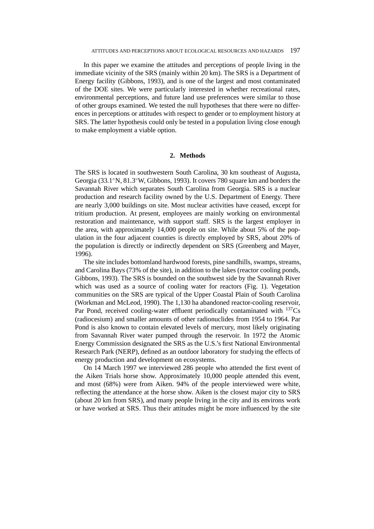In this paper we examine the attitudes and perceptions of people living in the immediate vicinity of the SRS (mainly within 20 km). The SRS is a Department of Energy facility (Gibbons, 1993), and is one of the largest and most contaminated of the DOE sites. We were particularly interested in whether recreational rates, environmental perceptions, and future land use preferences were similar to those of other groups examined. We tested the null hypotheses that there were no differences in perceptions or attitudes with respect to gender or to employment history at SRS. The latter hypothesis could only be tested in a population living close enough to make employment a viable option.

# **2. Methods**

The SRS is located in southwestern South Carolina, 30 km southeast of Augusta, Georgia (33.1◦N, 81.3◦W, Gibbons, 1993). It covers 780 square km and borders the Savannah River which separates South Carolina from Georgia. SRS is a nuclear production and research facility owned by the U.S. Department of Energy. There are nearly 3,000 buildings on site. Most nuclear activities have ceased, except for tritium production. At present, employees are mainly working on environmental restoration and maintenance, with support staff. SRS is the largest employer in the area, with approximately 14,000 people on site. While about 5% of the population in the four adjacent counties is directly employed by SRS, about 20% of the population is directly or indirectly dependent on SRS (Greenberg and Mayer, 1996).

The site includes bottomland hardwood forests, pine sandhills, swamps, streams, and Carolina Bays (73% of the site), in addition to the lakes (reactor cooling ponds, Gibbons, 1993). The SRS is bounded on the southwest side by the Savannah River which was used as a source of cooling water for reactors (Fig. 1). Vegetation communities on the SRS are typical of the Upper Coastal Plain of South Carolina (Workman and McLeod, 1990). The 1,130 ha abandoned reactor-cooling reservoir, Par Pond, received cooling-water effluent periodically contaminated with  $137Cs$ (radiocesium) and smaller amounts of other radionuclides from 1954 to 1964. Par Pond is also known to contain elevated levels of mercury, most likely originating from Savannah River water pumped through the reservoir. In 1972 the Atomic Energy Commission designated the SRS as the U.S.'s first National Environmental Research Park (NERP), defined as an outdoor laboratory for studying the effects of energy production and development on ecosystems.

On 14 March 1997 we interviewed 286 people who attended the first event of the Aiken Trials horse show. Approximately 10,000 people attended this event, and most (68%) were from Aiken. 94% of the people interviewed were white, reflecting the attendance at the horse show. Aiken is the closest major city to SRS (about 20 km from SRS), and many people living in the city and its environs work or have worked at SRS. Thus their attitudes might be more influenced by the site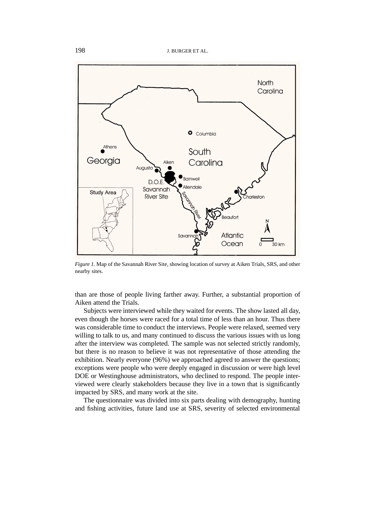

*Figure 1.* Map of the Savannah River Site, showing location of survey at Aiken Trials, SRS, and other nearby sites.

than are those of people living farther away. Further, a substantial proportion of Aiken attend the Trials.

Subjects were interviewed while they waited for events. The show lasted all day, even though the horses were raced for a total time of less than an hour. Thus there was considerable time to conduct the interviews. People were relaxed, seemed very willing to talk to us, and many continued to discuss the various issues with us long after the interview was completed. The sample was not selected strictly randomly, but there is no reason to believe it was not representative of those attending the exhibition. Nearly everyone (96%) we approached agreed to answer the questions; exceptions were people who were deeply engaged in discussion or were high level DOE or Westinghouse administrators, who declined to respond. The people interviewed were clearly stakeholders because they live in a town that is significantly impacted by SRS, and many work at the site.

The questionnaire was divided into six parts dealing with demography, hunting and fishing activities, future land use at SRS, severity of selected environmental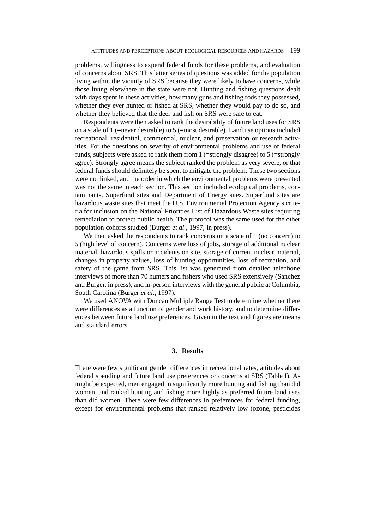problems, willingness to expend federal funds for these problems, and evaluation of concerns about SRS. This latter series of questions was added for the population living within the vicinity of SRS because they were likely to have concerns, while those living elsewhere in the state were not. Hunting and fishing questions dealt with days spent in these activities, how many guns and fishing rods they possessed, whether they ever hunted or fished at SRS, whether they would pay to do so, and whether they believed that the deer and fish on SRS were safe to eat.

Respondents were then asked to rank the desirability of future land uses for SRS on a scale of 1 (=never desirable) to 5 (=most desirable). Land use options included recreational, residential, commercial, nuclear, and preservation or research activities. For the questions on severity of environmental problems and use of federal funds, subjects were asked to rank them from 1 (=strongly disagree) to 5 (=strongly agree). Strongly agree means the subject ranked the problem as very severe, or that federal funds should definitely be spent to mitigate the problem. These two sections were not linked, and the order in which the environmental problems were presented was not the same in each section. This section included ecological problems, contaminants, Superfund sites and Department of Energy sites. Superfund sites are hazardous waste sites that meet the U.S. Environmental Protection Agency's criteria for inclusion on the National Priorities List of Hazardous Waste sites requiring remediation to protect public health. The protocol was the same used for the other population cohorts studied (Burger *et al.*, 1997, in press).

We then asked the respondents to rank concerns on a scale of 1 (no concern) to 5 (high level of concern). Concerns were loss of jobs, storage of additional nuclear material, hazardous spills or accidents on site, storage of current nuclear material, changes in property values, loss of hunting opportunities, loss of recreation, and safety of the game from SRS. This list was generated from detailed telephone interviews of more than 70 hunters and fishers who used SRS extensively (Sanchez and Burger, in press), and in-person interviews with the general public at Columbia, South Carolina (Burger *et al.*, 1997).

We used ANOVA with Duncan Multiple Range Test to determine whether there were differences as a function of gender and work history, and to determine differences between future land use preferences. Given in the text and figures are means and standard errors.

## **3. Results**

There were few significant gender differences in recreational rates, attitudes about federal spending and future land use preferences or concerns at SRS (Table I). As might be expected, men engaged in significantly more hunting and fishing than did women, and ranked hunting and fishing more highly as preferred future land uses than did women. There were few differences in preferences for federal funding, except for environmental problems that ranked relatively low (ozone, pesticides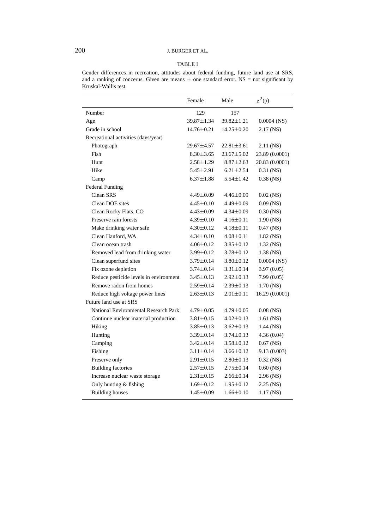#### TABLE I

Gender differences in recreation, attitudes about federal funding, future land use at SRS, and a ranking of concerns. Given are means  $\pm$  one standard error. NS = not significant by Kruskal-Wallis test.

|                                        | Female           | Male             | $\chi^2(p)$    |
|----------------------------------------|------------------|------------------|----------------|
| Number                                 | 129              | 157              |                |
| Age                                    | 39.87±1.34       | 39.82±1.21       | $0.0004$ (NS)  |
| Grade in school                        | $14.76 \pm 0.21$ | $14.25 \pm 0.20$ | $2.17$ (NS)    |
| Recreational activities (days/year)    |                  |                  |                |
| Photograph                             | 29.67±4.57       | $22.81 \pm 3.61$ | 2.11 (NS)      |
| Fish                                   | $8.30 \pm 3.65$  | $23.67 \pm 5.02$ | 23.89 (0.0001) |
| Hunt                                   | $2.58 \pm 1.29$  | $8.87 \pm 2.63$  | 20.83 (0.0001) |
| Hike                                   | $5.45 \pm 2.91$  | $6.21 \pm 2.54$  | $0.31$ (NS)    |
| Camp                                   | $6.37 \pm 1.88$  | $5.54 \pm 1.42$  | $0.38$ (NS)    |
| <b>Federal Funding</b>                 |                  |                  |                |
| Clean SRS                              | $4.49 \pm 0.09$  | $4.46 \pm 0.09$  | $0.02$ (NS)    |
| Clean DOE sites                        | $4.45 \pm 0.10$  | $4.49 \pm 0.09$  | $0.09$ (NS)    |
| Clean Rocky Flats, CO                  | $4.43 \pm 0.09$  | $4.34 \pm 0.09$  | $0.30$ (NS)    |
| Preserve rain forests                  | $4.39 \pm 0.10$  | $4.16 \pm 0.11$  | $1.90$ (NS)    |
| Make drinking water safe               | $4.30 \pm 0.12$  | $4.18 \pm 0.11$  | $0.47$ (NS)    |
| Clean Hanford, WA                      | $4.34 \pm 0.10$  | $4.08 \pm 0.11$  | 1.82 (NS)      |
| Clean ocean trash                      | $4.06 \pm 0.12$  | $3.85 \pm 0.12$  | $1.32$ (NS)    |
| Removed lead from drinking water       | $3.99 \pm 0.12$  | $3.78 \pm 0.12$  | $1.38$ (NS)    |
| Clean superfund sites                  | $3.79 \pm 0.14$  | $3.80 \pm 0.12$  | $0.0004$ (NS)  |
| Fix ozone depletion                    | $3.74 \pm 0.14$  | $3.31 \pm 0.14$  | 3.97(0.05)     |
| Reduce pesticide levels in environment | $3.45 \pm 0.13$  | $2.92 \pm 0.13$  | 7.99(0.05)     |
| Remove radon from homes                | $2.59 \pm 0.14$  | $2.39 \pm 0.13$  | 1.70 (NS)      |
| Reduce high voltage power lines        | $2.63 \pm 0.13$  | $2.01 \pm 0.11$  | 16.29 (0.0001) |
| Future land use at SRS                 |                  |                  |                |
| National Environmental Research Park   | $4.79 \pm 0.05$  | $4.79 \pm 0.05$  | $0.08$ (NS)    |
| Continue nuclear material production   | $3.81 \pm 0.15$  | $4.02 \pm 0.13$  | $1.61$ (NS)    |
| Hiking                                 | $3.85 \pm 0.13$  | $3.62 \pm 0.13$  | $1.44$ (NS)    |
| Hunting                                | $3.39 \pm 0.14$  | $3.74 \pm 0.13$  | 4.36(0.04)     |
| Camping                                | $3.42 \pm 0.14$  | $3.58 \pm 0.12$  | $0.67$ (NS)    |
| Fishing                                | $3.11 \pm 0.14$  | $3.66 \pm 0.12$  | 9.13(0.003)    |
| Preserve only                          | $2.91 \pm 0.15$  | $2.80 \pm 0.13$  | $0.32$ (NS)    |
| <b>Building factories</b>              | $2.57 \pm 0.15$  | $2.75 \pm 0.14$  | $0.60$ (NS)    |
| Increase nuclear waste storage         | $2.31 \pm 0.15$  | $2.66 \pm 0.14$  | $2.96$ (NS)    |
| Only hunting & fishing                 | $1.69 \pm 0.12$  | $1.95 \pm 0.12$  | 2.25 (NS)      |
| <b>Building houses</b>                 | $1.45 \pm 0.09$  | $1.66 \pm 0.10$  | $1.17$ (NS)    |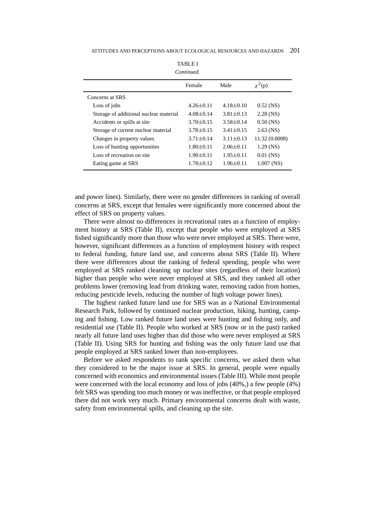TABLE I

| <br>Continued.                         |                 |                 |                |
|----------------------------------------|-----------------|-----------------|----------------|
|                                        | Female          | Male            | $\chi^2(p)$    |
| Concerns at SRS                        |                 |                 |                |
| Loss of jobs                           | $4.26 \pm 0.11$ | $4.18 \pm 0.10$ | $0.52$ (NS)    |
| Storage of additional nuclear material | $4.08 \pm 0.14$ | $3.81 \pm 0.13$ | $2.28$ (NS)    |
| Accidents or spills at site            | $3.70 \pm 0.15$ | $3.58 \pm 0.14$ | $0.50$ (NS)    |
| Storage of current nuclear material    | $3.78 \pm 0.15$ | $3.41 \pm 0.15$ | $2.63$ (NS)    |
| Changes in property values             | $3.71 \pm 0.14$ | $3.11 \pm 0.13$ | 11.32 (0.0008) |
| Loss of hunting opportunities          | $1.80 \pm 0.11$ | $2.06 \pm 0.11$ | $1.29$ (NS)    |
| Loss of recreation on site             | $1.90 \pm 0.11$ | $1.95 \pm 0.11$ | $0.01$ (NS)    |
| Eating game at SRS                     | $1.78 \pm 0.12$ | $1.96 \pm 0.11$ | $1.007$ (NS)   |

and power lines). Similarly, there were no gender differences in ranking of overall concerns at SRS, except that females were significantly more concerned about the effect of SRS on property values.

There were almost no differences in recreational rates as a function of employment history at SRS (Table II), except that people who were employed at SRS fished significantly more than those who were never employed at SRS. There were, however, significant differences as a function of employment history with respect to federal funding, future land use, and concerns about SRS (Table II). Where there were differences about the ranking of federal spending, people who were employed at SRS ranked cleaning up nuclear sites (regardless of their location) higher than people who were never employed at SRS, and they ranked all other problems lower (removing lead from drinking water, removing radon from homes, reducing pesticide levels, reducing the number of high voltage power lines).

The highest ranked future land use for SRS was as a National Environmental Research Park, followed by continued nuclear production, hiking, hunting, camping and fishing. Low ranked future land uses were hunting and fishing only, and residential use (Table II). People who worked at SRS (now or in the past) ranked nearly all future land uses higher than did those who were never employed at SRS (Table II). Using SRS for hunting and fishing was the only future land use that people employed at SRS ranked lower than non-employees.

Before we asked respondents to rank specific concerns, we asked them what they considered to be the major issue at SRS. In general, people were equally concerned with economics and environmental issues (Table III). While most people were concerned with the local economy and loss of jobs (40%,) a few people (4%) felt SRS was spending too much money or was ineffective, or that people employed there did not work very much. Primary environmental concerns dealt with waste, safety from environmental spills, and cleaning up the site.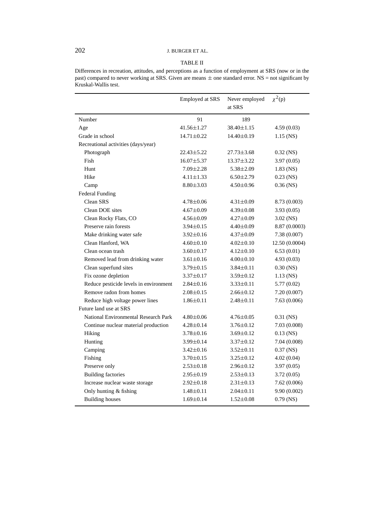# TABLE II

Differences in recreation, attitudes, and perceptions as a function of employment at SRS (now or in the past) compared to never working at SRS. Given are means  $\pm$  one standard error. NS = not significant by Kruskal-Wallis test.

|                                        | <b>Employed at SRS</b> | Never employed<br>at SRS | $\chi^2(p)$    |
|----------------------------------------|------------------------|--------------------------|----------------|
| Number                                 | 91                     | 189                      |                |
| Age                                    | $41.56 \pm 1.27$       | 38.40±1.15               | 4.59(0.03)     |
| Grade in school                        | $14.71 \pm 0.22$       | $14.40 \pm 0.19$         | $1.15$ (NS)    |
| Recreational activities (days/year)    |                        |                          |                |
| Photograph                             | $22.43 \pm 5.22$       | $27.73 \pm 3.68$         | $0.32$ (NS)    |
| Fish                                   | $16.07 \pm 5.37$       | $13.37 \pm 3.22$         | 3.97(0.05)     |
| Hunt                                   | $7.09 \pm 2.28$        | $5.38 \pm 2.09$          | $1.83$ (NS)    |
| Hike                                   | $4.11 \pm 1.33$        | $6.50 \pm 2.79$          | $0.23$ (NS)    |
| Camp                                   | $8.80 \pm 3.03$        | $4.50 \pm 0.96$          | $0.36$ (NS)    |
| <b>Federal Funding</b>                 |                        |                          |                |
| Clean SRS                              | $4.78 \pm 0.06$        | $4.31 \pm 0.09$          | 8.73 (0.003)   |
| Clean DOE sites                        | $4.67 \pm 0.09$        | $4.39 \pm 0.08$          | 3.93(0.05)     |
| Clean Rocky Flats, CO                  | $4.56 \pm 0.09$        | $4.27 \pm 0.09$          | $3.02$ (NS)    |
| Preserve rain forests                  | $3.94 \pm 0.15$        | $4.40 \pm 0.09$          | 8.87 (0.0003)  |
| Make drinking water safe               | $3.92 \pm 0.16$        | $4.37 \pm 0.09$          | 7.38(0.007)    |
| Clean Hanford, WA                      | $4.60 \pm 0.10$        | $4.02 \pm 0.10$          | 12.50 (0.0004) |
| Clean ocean trash                      | $3.60 \pm 0.17$        | $4.12 \pm 0.10$          | 6.53(0.01)     |
| Removed lead from drinking water       | $3.61 \pm 0.16$        | $4.00 \pm 0.10$          | 4.93(0.03)     |
| Clean superfund sites                  | $3.79 \pm 0.15$        | $3.84 \pm 0.11$          | $0.30$ (NS)    |
| Fix ozone depletion                    | $3.37 \pm 0.17$        | $3.59 \pm 0.12$          | $1.13$ (NS)    |
| Reduce pesticide levels in environment | $2.84 \pm 0.16$        | $3.33 \pm 0.11$          | 5.77(0.02)     |
| Remove radon from homes                | $2.08 \pm 0.15$        | $2.66 \pm 0.12$          | 7.20(0.007)    |
| Reduce high voltage power lines        | $1.86 \pm 0.11$        | $2.48 \pm 0.11$          | 7.63(0.006)    |
| Future land use at SRS                 |                        |                          |                |
| National Environmental Research Park   | $4.80 \pm 0.06$        | $4.76 \pm 0.05$          | $0.31$ (NS)    |
| Continue nuclear material production   | $4.28 \pm 0.14$        | $3.76 \pm 0.12$          | 7.03(0.008)    |
| Hiking                                 | $3.78 \pm 0.16$        | $3.69 \pm 0.12$          | $0.13$ (NS)    |
| Hunting                                | $3.99 \pm 0.14$        | $3.37 \pm 0.12$          | 7.04(0.008)    |
| Camping                                | $3.42 \pm 0.16$        | $3.52 \pm 0.11$          | $0.37$ (NS)    |
| Fishing                                | $3.70 \pm 0.15$        | $3.25 \pm 0.12$          | 4.02(0.04)     |
| Preserve only                          | $2.53 \pm 0.18$        | $2.96 \pm 0.12$          | 3.97(0.05)     |
| <b>Building factories</b>              | $2.95 \pm 0.19$        | $2.53 \pm 0.13$          | 3.72(0.05)     |
| Increase nuclear waste storage         | $2.92 \pm 0.18$        | $2.31 \pm 0.13$          | 7.62(0.006)    |
| Only hunting & fishing                 | $1.48 \pm 0.11$        | $2.04 \pm 0.11$          | 9.90(0.002)    |
| <b>Building houses</b>                 | $1.69 \pm 0.14$        | $1.52 \pm 0.08$          | $0.79$ (NS)    |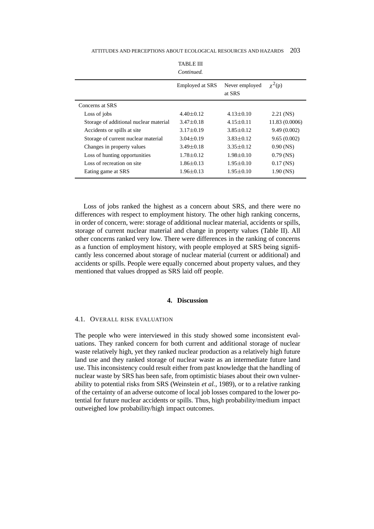|                                        | 1799.JE<br>Continued. |                          |                |
|----------------------------------------|-----------------------|--------------------------|----------------|
|                                        | Employed at SRS       | Never employed<br>at SRS | $\chi^2(p)$    |
| Concerns at SRS                        |                       |                          |                |
| Loss of jobs                           | $4.40 \pm 0.12$       | $4.13 \pm 0.10$          | $2.21$ (NS)    |
| Storage of additional nuclear material | $3.47 \pm 0.18$       | $4.15 \pm 0.11$          | 11.83 (0.0006) |
| Accidents or spills at site            | $3.17 \pm 0.19$       | $3.85 \pm 0.12$          | 9.49(0.002)    |
| Storage of current nuclear material    | $3.04 \pm 0.19$       | $3.83 \pm 0.12$          | 9.65(0.002)    |
| Changes in property values             | $3.49 \pm 0.18$       | $3.35 \pm 0.12$          | $0.90$ (NS)    |
| Loss of hunting opportunities          | $1.78 \pm 0.12$       | $1.98 \pm 0.10$          | $0.79$ (NS)    |
| Loss of recreation on site             | $1.86 \pm 0.13$       | $1.95 \pm 0.10$          | $0.17$ (NS)    |
| Eating game at SRS                     | $1.96 \pm 0.13$       | $1.95 \pm 0.10$          | $1.90$ (NS)    |

ATTITUDES AND PERCEPTIONS ABOUT ECOLOGICAL RESOURCES AND HAZARDS 203

TABLE III

Loss of jobs ranked the highest as a concern about SRS, and there were no differences with respect to employment history. The other high ranking concerns, in order of concern, were: storage of additional nuclear material, accidents or spills, storage of current nuclear material and change in property values (Table II). All other concerns ranked very low. There were differences in the ranking of concerns as a function of employment history, with people employed at SRS being significantly less concerned about storage of nuclear material (current or additional) and accidents or spills. People were equally concerned about property values, and they mentioned that values dropped as SRS laid off people.

## **4. Discussion**

#### 4.1. OVERALL RISK EVALUATION

The people who were interviewed in this study showed some inconsistent evaluations. They ranked concern for both current and additional storage of nuclear waste relatively high, yet they ranked nuclear production as a relatively high future land use and they ranked storage of nuclear waste as an intermediate future land use. This inconsistency could result either from past knowledge that the handling of nuclear waste by SRS has been safe, from optimistic biases about their own vulnerability to potential risks from SRS (Weinstein *et al.*, 1989), or to a relative ranking of the certainty of an adverse outcome of local job losses compared to the lower potential for future nuclear accidents or spills. Thus, high probability/medium impact outweighed low probability/high impact outcomes.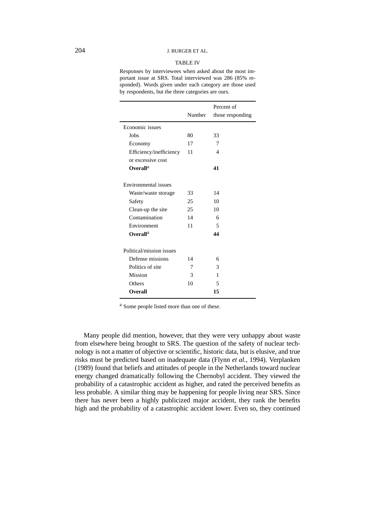#### TABLE IV

Responses by interviewees when asked about the most important issue at SRS. Total interviewed was 286 (85% responded). Words given under each category are those used by respondents, but the three categories are ours.

|                          | Number | Percent of<br>those responding |
|--------------------------|--------|--------------------------------|
| Economic issues          |        |                                |
| Jobs                     | 80     | 33                             |
| Economy                  | 17     | 7                              |
| Efficiency/inefficiency  | 11     | $\overline{\mathcal{A}}$       |
| or excessive cost        |        |                                |
| Overall <sup>a</sup>     |        | 41                             |
| Environmental issues     |        |                                |
| Waste/waste storage      | 33     | 14                             |
| Safety                   | 25     | 10                             |
| Clean-up the site        | 25     | 10                             |
| Contamination            | 14     | 6                              |
| Environment              | 11     | 5                              |
| Overall <sup>a</sup>     |        | 44                             |
| Political/mission issues |        |                                |
| Defense missions         | 14     | 6                              |
| Politics of site         | 7      | 3                              |
| Mission                  | 3      | 1                              |
| Others                   | 10     | 5                              |
| <b>Overall</b>           |        | 15                             |

<sup>a</sup> Some people listed more than one of these.

Many people did mention, however, that they were very unhappy about waste from elsewhere being brought to SRS. The question of the safety of nuclear technology is not a matter of objective or scientific, historic data, but is elusive, and true risks must be predicted based on inadequate data (Flynn *et al.*, 1994). Verplanken (1989) found that beliefs and attitudes of people in the Netherlands toward nuclear energy changed dramatically following the Chernobyl accident. They viewed the probability of a catastrophic accident as higher, and rated the perceived benefits as less probable. A similar thing may be happening for people living near SRS. Since there has never been a highly publicized major accident, they rank the benefits high and the probability of a catastrophic accident lower. Even so, they continued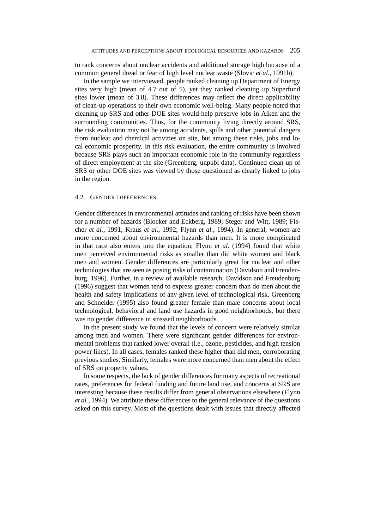to rank concerns about nuclear accidents and additional storage high because of a common general dread or fear of high level nuclear waste (Slovic *et al.*, 1991b).

In the sample we interviewed, people ranked cleaning up Department of Energy sites very high (mean of 4.7 out of 5), yet they ranked cleaning up Superfund sites lower (mean of 3.8). These differences may reflect the direct applicability of clean-up operations to their own economic well-being. Many people noted that cleaning up SRS and other DOE sites would help preserve jobs in Aiken and the surrounding communities. Thus, for the community living directly around SRS, the risk evaluation may not be among accidents, spills and other potential dangers from nuclear and chemical activities on site, but among these risks, jobs and local economic prosperity. In this risk evaluation, the entire community is involved because SRS plays such an important economic role in the community regardless of direct employment at the site (Greenberg, unpubl data). Continued clean-up of SRS or other DOE sites was viewed by those questioned as clearly linked to jobs in the region.

#### 4.2. GENDER DIFFERENCES

Gender differences in environmental attitudes and ranking of risks have been shown for a number of hazards (Blocker and Eckberg, 1989; Steger and Witt, 1989; Fischer *et al.*, 1991; Kraus *et al.*, 1992; Flynn *et al.*, 1994). In general, women are more concerned about environmental hazards than men. It is more complicated in that race also enters into the equation; Flynn *et al.* (1994) found that white men perceived environmental risks as smaller than did white women and black men and women. Gender differences are particularly great for nuclear and other technologies that are seen as posing risks of contamination (Davidson and Freudenburg, 1996). Further, in a review of available research, Davidson and Freudenburg (1996) suggest that women tend to express greater concern than do men about the health and safety implications of any given level of technological risk. Greenberg and Schneider (1995) also found greater female than male concerns about local technological, behavioral and land use hazards in good neighborhoods, but there was no gender difference in stressed neighborhoods.

In the present study we found that the levels of concern were relatively similar among men and women. There were significant gender differences for environmental problems that ranked lower overall (i.e., ozone, pesticides, and high tension power lines). In all cases, females ranked these higher than did men, corroborating previous studies. Similarly, females were more concerned than men about the effect of SRS on property values.

In some respects, the lack of gender differences for many aspects of recreational rates, preferences for federal funding and future land use, and concerns at SRS are interesting because these results differ from general observations elsewhere (Flynn *et al.*, 1994). We attribute these differences to the general relevance of the questions asked on this survey. Most of the questions dealt with issues that directly affected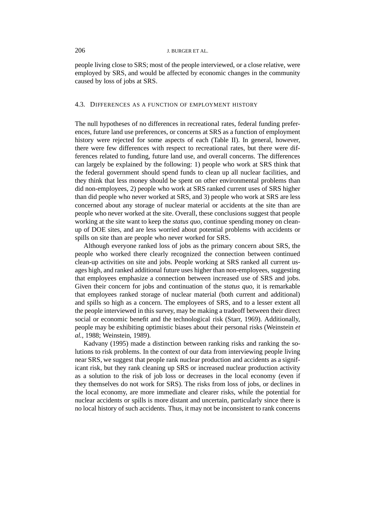people living close to SRS; most of the people interviewed, or a close relative, were employed by SRS, and would be affected by economic changes in the community caused by loss of jobs at SRS.

#### 4.3. DIFFERENCES AS A FUNCTION OF EMPLOYMENT HISTORY

The null hypotheses of no differences in recreational rates, federal funding preferences, future land use preferences, or concerns at SRS as a function of employment history were rejected for some aspects of each (Table II). In general, however, there were few differences with respect to recreational rates, but there were differences related to funding, future land use, and overall concerns. The differences can largely be explained by the following: 1) people who work at SRS think that the federal government should spend funds to clean up all nuclear facilities, and they think that less money should be spent on other environmental problems than did non-employees, 2) people who work at SRS ranked current uses of SRS higher than did people who never worked at SRS, and 3) people who work at SRS are less concerned about any storage of nuclear material or accidents at the site than are people who never worked at the site. Overall, these conclusions suggest that people working at the site want to keep the *status quo*, continue spending money on cleanup of DOE sites, and are less worried about potential problems with accidents or spills on site than are people who never worked for SRS.

Although everyone ranked loss of jobs as the primary concern about SRS, the people who worked there clearly recognized the connection between continued clean-up activities on site and jobs. People working at SRS ranked all current usages high, and ranked additional future uses higher than non-employees, suggesting that employees emphasize a connection between increased use of SRS and jobs. Given their concern for jobs and continuation of the *status quo*, it is remarkable that employees ranked storage of nuclear material (both current and additional) and spills so high as a concern. The employees of SRS, and to a lesser extent all the people interviewed in this survey, may be making a tradeoff between their direct social or economic benefit and the technological risk (Starr, 1969). Additionally, people may be exhibiting optimistic biases about their personal risks (Weinstein *et al.*, 1988; Weinstein, 1989).

Kadvany (1995) made a distinction between ranking risks and ranking the solutions to risk problems. In the context of our data from interviewing people living near SRS, we suggest that people rank nuclear production and accidents as a significant risk, but they rank cleaning up SRS or increased nuclear production activity as a solution to the risk of job loss or decreases in the local economy (even if they themselves do not work for SRS). The risks from loss of jobs, or declines in the local economy, are more immediate and clearer risks, while the potential for nuclear accidents or spills is more distant and uncertain, particularly since there is no local history of such accidents. Thus, it may not be inconsistent to rank concerns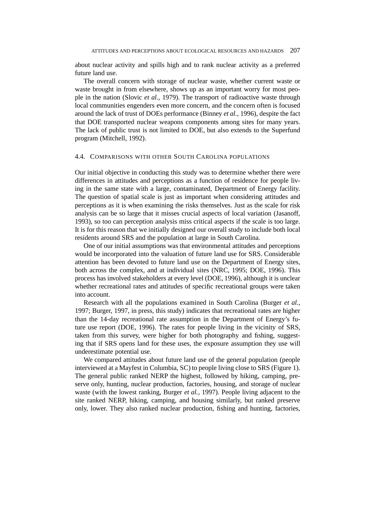about nuclear activity and spills high and to rank nuclear activity as a preferred future land use.

The overall concern with storage of nuclear waste, whether current waste or waste brought in from elsewhere, shows up as an important worry for most people in the nation (Slovic *et al.*, 1979). The transport of radioactive waste through local communities engenders even more concern, and the concern often is focused around the lack of trust of DOEs performance (Binney *et al.*, 1996), despite the fact that DOE transported nuclear weapons components among sites for many years. The lack of public trust is not limited to DOE, but also extends to the Superfund program (Mitchell, 1992).

#### 4.4. COMPARISONS WITH OTHER SOUTH CAROLINA POPULATIONS

Our initial objective in conducting this study was to determine whether there were differences in attitudes and perceptions as a function of residence for people living in the same state with a large, contaminated, Department of Energy facility. The question of spatial scale is just as important when considering attitudes and perceptions as it is when examining the risks themselves. Just as the scale for risk analysis can be so large that it misses crucial aspects of local variation (Jasanoff, 1993), so too can perception analysis miss critical aspects if the scale is too large. It is for this reason that we initially designed our overall study to include both local residents around SRS and the population at large in South Carolina.

One of our initial assumptions was that environmental attitudes and perceptions would be incorporated into the valuation of future land use for SRS. Considerable attention has been devoted to future land use on the Department of Energy sites, both across the complex, and at individual sites (NRC, 1995; DOE, 1996). This process has involved stakeholders at every level (DOE, 1996), although it is unclear whether recreational rates and attitudes of specific recreational groups were taken into account.

Research with all the populations examined in South Carolina (Burger *et al.*, 1997; Burger, 1997, in press, this study) indicates that recreational rates are higher than the 14-day recreational rate assumption in the Department of Energy's future use report (DOE, 1996). The rates for people living in the vicinity of SRS, taken from this survey, were higher for both photography and fishing, suggesting that if SRS opens land for these uses, the exposure assumption they use will underestimate potential use.

We compared attitudes about future land use of the general population (people interviewed at a Mayfest in Columbia, SC) to people living close to SRS (Figure 1). The general public ranked NERP the highest, followed by hiking, camping, preserve only, hunting, nuclear production, factories, housing, and storage of nuclear waste (with the lowest ranking, Burger *et al.*, 1997). People living adjacent to the site ranked NERP, hiking, camping, and housing similarly, but ranked preserve only, lower. They also ranked nuclear production, fishing and hunting, factories,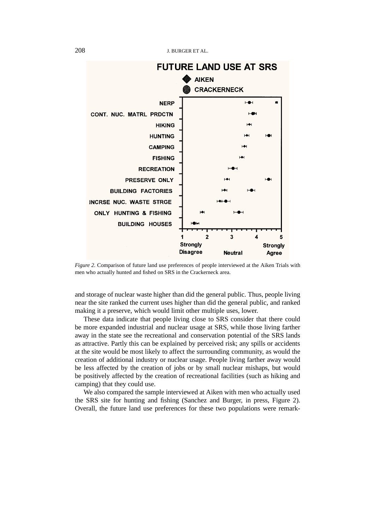

*Figure 2.* Comparison of future land use preferences of people interviewed at the Aiken Trials with men who actually hunted and fished on SRS in the Crackerneck area.

and storage of nuclear waste higher than did the general public. Thus, people living near the site ranked the current uses higher than did the general public, and ranked making it a preserve, which would limit other multiple uses, lower.

These data indicate that people living close to SRS consider that there could be more expanded industrial and nuclear usage at SRS, while those living farther away in the state see the recreational and conservation potential of the SRS lands as attractive. Partly this can be explained by perceived risk; any spills or accidents at the site would be most likely to affect the surrounding community, as would the creation of additional industry or nuclear usage. People living farther away would be less affected by the creation of jobs or by small nuclear mishaps, but would be positively affected by the creation of recreational facilities (such as hiking and camping) that they could use.

We also compared the sample interviewed at Aiken with men who actually used the SRS site for hunting and fishing (Sanchez and Burger, in press, Figure 2). Overall, the future land use preferences for these two populations were remark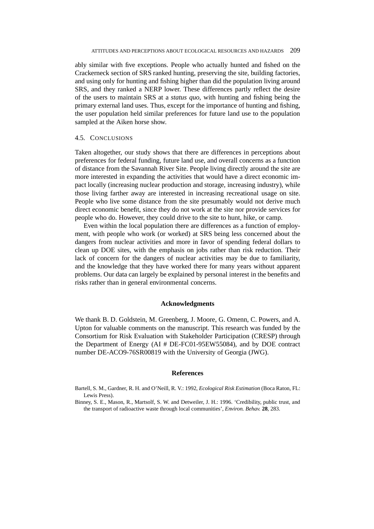ably similar with five exceptions. People who actually hunted and fished on the Crackerneck section of SRS ranked hunting, preserving the site, building factories, and using only for hunting and fishing higher than did the population living around SRS, and they ranked a NERP lower. These differences partly reflect the desire of the users to maintain SRS at a *status quo*, with hunting and fishing being the primary external land uses. Thus, except for the importance of hunting and fishing, the user population held similar preferences for future land use to the population sampled at the Aiken horse show.

#### 4.5. CONCLUSIONS

Taken altogether, our study shows that there are differences in perceptions about preferences for federal funding, future land use, and overall concerns as a function of distance from the Savannah River Site. People living directly around the site are more interested in expanding the activities that would have a direct economic impact locally (increasing nuclear production and storage, increasing industry), while those living farther away are interested in increasing recreational usage on site. People who live some distance from the site presumably would not derive much direct economic benefit, since they do not work at the site nor provide services for people who do. However, they could drive to the site to hunt, hike, or camp.

Even within the local population there are differences as a function of employment, with people who work (or worked) at SRS being less concerned about the dangers from nuclear activities and more in favor of spending federal dollars to clean up DOE sites, with the emphasis on jobs rather than risk reduction. Their lack of concern for the dangers of nuclear activities may be due to familiarity, and the knowledge that they have worked there for many years without apparent problems. Our data can largely be explained by personal interest in the benefits and risks rather than in general environmental concerns.

#### **Acknowledgments**

We thank B. D. Goldstein, M. Greenberg, J. Moore, G. Omenn, C. Powers, and A. Upton for valuable comments on the manuscript. This research was funded by the Consortium for Risk Evaluation with Stakeholder Participation (CRESP) through the Department of Energy (AI # DE-FC01-95EW55084), and by DOE contract number DE-ACO9-76SR00819 with the University of Georgia (JWG).

#### **References**

Bartell, S. M., Gardner, R. H. and O'Neill, R. V.: 1992, *Ecological Risk Estimation* (Boca Raton, FL: Lewis Press).

Binney, S. E., Mason, R., Martsolf, S. W. and Detweiler, J. H.: 1996. 'Credibility, public trust, and the transport of radioactive waste through local communities', *Environ. Behav.* **28**, 283.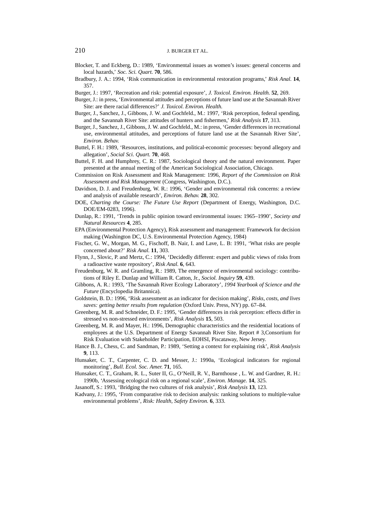- Blocker, T. and Eckberg, D.: 1989, 'Environmental issues as women's issues: general concerns and local hazards,' *Soc. Sci. Quart.* **70**, 586.
- Bradbury, J. A.: 1994, 'Risk communication in environmental restoration programs,' *Risk Anal.* **14**, 357.
- Burger, J.: 1997, 'Recreation and risk: potential exposure', *J. Toxicol. Environ. Health.* **52**, 269.
- Burger, J.: in press, 'Environmental attitudes and perceptions of future land use at the Savannah River Site: are there racial differences?' *J. Toxicol. Environ. Health.*
- Burger, J., Sanchez, J., Gibbons, J. W. and Gochfeld., M.: 1997, 'Risk perception, federal spending, and the Savannah River Site: attitudes of hunters and fishermen,' *Risk Analysis* **17**, 313.
- Burger, J., Sanchez, J., Gibbons, J. W. and Gochfeld., M.: in press, 'Gender differences in recreational use, environmental attitudes, and perceptions of future land use at the Savannah River Site', *Environ. Behav.*
- Buttel, F. H.: 1989, 'Resources, institutions, and political-economic processes: beyond allegory and allegation', *Social Sci. Quart.* **70**, 468.
- Buttel, F. H. and Humphrey, C. R.: 1987, Sociological theory and the natural environment. Paper presented at the annual meeting of the American Sociological Association, Chicago.
- Commission on Risk Assessment and Risk Management: 1996, *Report of the Commission on Risk Assessment and Risk Management* (Congress, Washington, D.C.).
- Davidson, D. J. and Freudenburg, W. R.: 1996, 'Gender and environmental risk concerns: a review and analysis of available research', *Environ. Behav.* **28**, 302.
- DOE, *Charting the Course: The Future Use Report* (Department of Energy, Washington, D.C. DOE/EM-0283, 1996).
- Dunlap, R.: 1991, 'Trends in public opinion toward environmental issues: 1965–1990', *Society and Natural Resources* **4**, 285.
- EPA (Environmental Protection Agency), Risk assessment and management: Framework for decision making (Washington DC, U.S. Environmental Protection Agency, 1984)
- Fischer, G. W., Morgan, M. G., Fischoff, B. Nair, I. and Lave, L. B: 1991, 'What risks are people concerned about?' *Risk Anal.* **11**, 303.
- Flynn, J., Slovic, P. and Mertz, C.: 1994, 'Decidedly different: expert and public views of risks from a radioactive waste repository', *Risk Anal.* **6**, 643.
- Freudenburg, W. R. and Gramling, R.: 1989, The emergence of environmental sociology: contributions of Riley E. Dunlap and William R. Catton, Jr., *Sociol. Inquiry* **59**, 439.
- Gibbons, A. R.: 1993, 'The Savannah River Ecology Laboratory', *1994 Yearbook of Science and the Future* (Encyclopedia Britannica).
- Goldstein, B. D.: 1996, 'Risk assessment as an indicator for decision making', *Risks, costs, and lives saves: getting better results from regulation* (Oxford Univ. Press, NY) pp. 67–84.
- Greenberg, M. R. and Schneider, D. F.: 1995, 'Gender differences in risk perception: effects differ in stressed vs non-stressed environments', *Risk Analysis* **15**, 503.
- Greenberg, M. R. and Mayer, H.: 1996, Demographic characteristics and the residential locations of employees at the U.S. Department of Energy Savannah River Site. Report # 3,Consortium for Risk Evaluation with Stakeholder Participation, EOHSI, Piscataway, New Jersey.
- Hance B. J., Chess, C. and Sandman, P.: 1989, 'Setting a context for explaining risk', *Risk Analysis* **9**, 113.
- Hunsaker, C. T., Carpenter, C. D. and Messer, J.: 1990a, 'Ecological indicators for regional monitoring', *Bull. Ecol. Soc. Amer.* **71**, 165.
- Hunsaker, C. T., Graham, R. L., Suter II, G., O'Neill, R. V., Barnthouse , L. W. and Gardner, R. H.: 1990b, 'Assessing ecological risk on a regional scale', *Environ. Manage.* **14**, 325.
- Jasanoff, S.: 1993, 'Bridging the two cultures of risk analysis', *Risk Analysis* **13**, 123.
- Kadvany, J.: 1995, 'From comparative risk to decision analysis: ranking solutions to multiple-value environmental problems', *Risk: Health, Safety Environ.* **6**, 333.